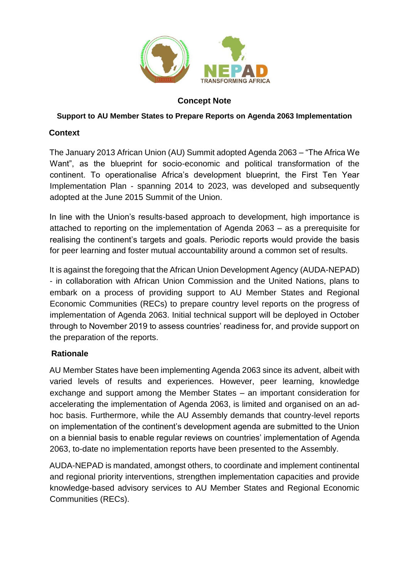

### **Concept Note**

#### **Support to AU Member States to Prepare Reports on Agenda 2063 Implementation**

## **Context**

The January 2013 African Union (AU) Summit adopted Agenda 2063 – "The Africa We Want", as the blueprint for socio-economic and political transformation of the continent. To operationalise Africa's development blueprint, the First Ten Year Implementation Plan - spanning 2014 to 2023, was developed and subsequently adopted at the June 2015 Summit of the Union.

In line with the Union's results-based approach to development, high importance is attached to reporting on the implementation of Agenda 2063 – as a prerequisite for realising the continent's targets and goals. Periodic reports would provide the basis for peer learning and foster mutual accountability around a common set of results.

It is against the foregoing that the African Union Development Agency (AUDA-NEPAD) - in collaboration with African Union Commission and the United Nations, plans to embark on a process of providing support to AU Member States and Regional Economic Communities (RECs) to prepare country level reports on the progress of implementation of Agenda 2063. Initial technical support will be deployed in October through to November 2019 to assess countries' readiness for, and provide support on the preparation of the reports.

### **Rationale**

AU Member States have been implementing Agenda 2063 since its advent, albeit with varied levels of results and experiences. However, peer learning, knowledge exchange and support among the Member States – an important consideration for accelerating the implementation of Agenda 2063, is limited and organised on an adhoc basis. Furthermore, while the AU Assembly demands that country-level reports on implementation of the continent's development agenda are submitted to the Union on a biennial basis to enable regular reviews on countries' implementation of Agenda 2063, to-date no implementation reports have been presented to the Assembly.

AUDA-NEPAD is mandated, amongst others, to coordinate and implement continental and regional priority interventions, strengthen implementation capacities and provide knowledge-based advisory services to AU Member States and Regional Economic Communities (RECs).